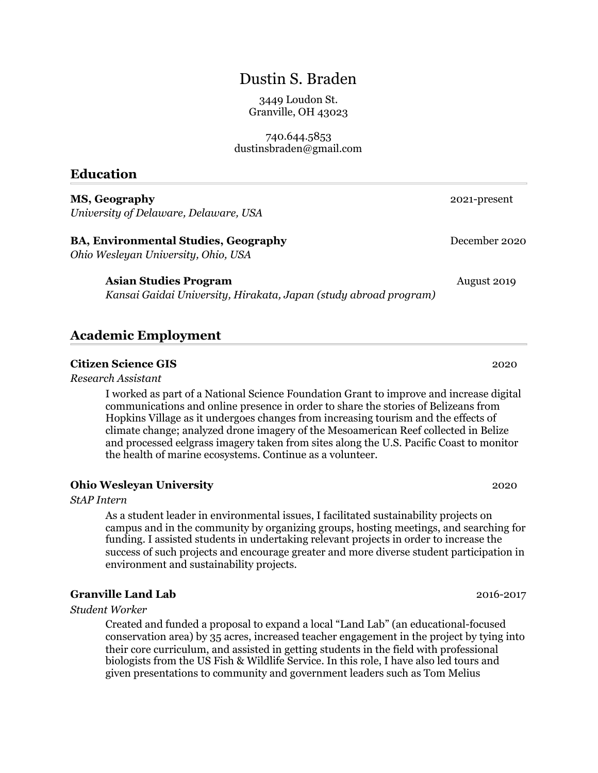# Dustin S. Braden

3449 Loudon St. Granville, OH 43023

740.644.5853 dustinsbraden@gmail.com

### **Education**

**MS, Geography** 2021-present *University of Delaware, Delaware, USA*

# **BA, Environmental Studies, Geography** December 2020

*Ohio Wesleyan University, Ohio, USA*

#### **Asian Studies Program August 2019** August 2019

*Kansai Gaidai University, Hirakata, Japan (study abroad program)*

## **Academic Employment**

#### **Citizen Science GIS** 2020

*Research Assistant*

I worked as part of a National Science Foundation Grant to improve and increase digital communications and online presence in order to share the stories of Belizeans from Hopkins Village as it undergoes changes from increasing tourism and the effects of climate change; analyzed drone imagery of the Mesoamerican Reef collected in Belize and processed eelgrass imagery taken from sites along the U.S. Pacific Coast to monitor the health of marine ecosystems. Continue as a volunteer.

### **Ohio Wesleyan University** 2020

*StAP Intern*

As a student leader in environmental issues, I facilitated sustainability projects on campus and in the community by organizing groups, hosting meetings, and searching for funding. I assisted students in undertaking relevant projects in order to increase the success of such projects and encourage greater and more diverse student participation in environment and sustainability projects.

### **Granville Land Lab** 2016-2017

*Student Worker*

Created and funded a proposal to expand a local "Land Lab" (an educational-focused conservation area) by 35 acres, increased teacher engagement in the project by tying into their core curriculum, and assisted in getting students in the field with professional biologists from the US Fish & Wildlife Service. In this role, I have also led tours and given presentations to community and government leaders such as Tom Melius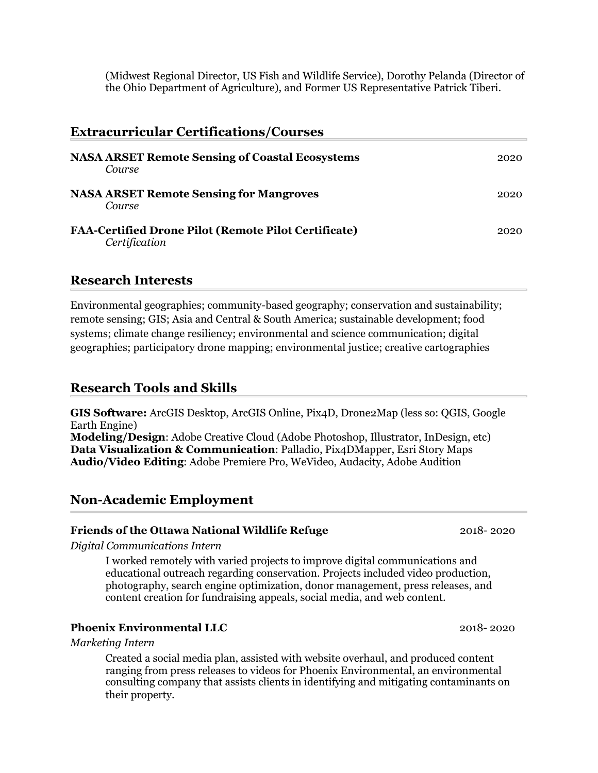(Midwest Regional Director, US Fish and Wildlife Service), Dorothy Pelanda (Director of the Ohio Department of Agriculture), and Former US Representative Patrick Tiberi.

| <b>Extracurricular Certifications/Courses</b>                                |      |  |
|------------------------------------------------------------------------------|------|--|
| <b>NASA ARSET Remote Sensing of Coastal Ecosystems</b><br>Course             | 2020 |  |
| <b>NASA ARSET Remote Sensing for Mangroves</b><br>Course                     | 2020 |  |
| <b>FAA-Certified Drone Pilot (Remote Pilot Certificate)</b><br>Certification | 2020 |  |

## **Research Interests**

Environmental geographies; community-based geography; conservation and sustainability; remote sensing; GIS; Asia and Central & South America; sustainable development; food systems; climate change resiliency; environmental and science communication; digital geographies; participatory drone mapping; environmental justice; creative cartographies

## **Research Tools and Skills**

**GIS Software:** ArcGIS Desktop, ArcGIS Online, Pix4D, Drone2Map (less so: QGIS, Google Earth Engine)

**Modeling/Design**: Adobe Creative Cloud (Adobe Photoshop, Illustrator, InDesign, etc) **Data Visualization & Communication**: Palladio, Pix4DMapper, Esri Story Maps **Audio/Video Editing**: Adobe Premiere Pro, WeVideo, Audacity, Adobe Audition

### **Non-Academic Employment**

#### **Friends of the Ottawa National Wildlife Refuge** 2018- 2020

*Digital Communications Intern*

I worked remotely with varied projects to improve digital communications and educational outreach regarding conservation. Projects included video production, photography, search engine optimization, donor management, press releases, and content creation for fundraising appeals, social media, and web content.

#### **Phoenix Environmental LLC** 2018- 2020

*Marketing Intern*

Created a social media plan, assisted with website overhaul, and produced content ranging from press releases to videos for Phoenix Environmental, an environmental consulting company that assists clients in identifying and mitigating contaminants on their property.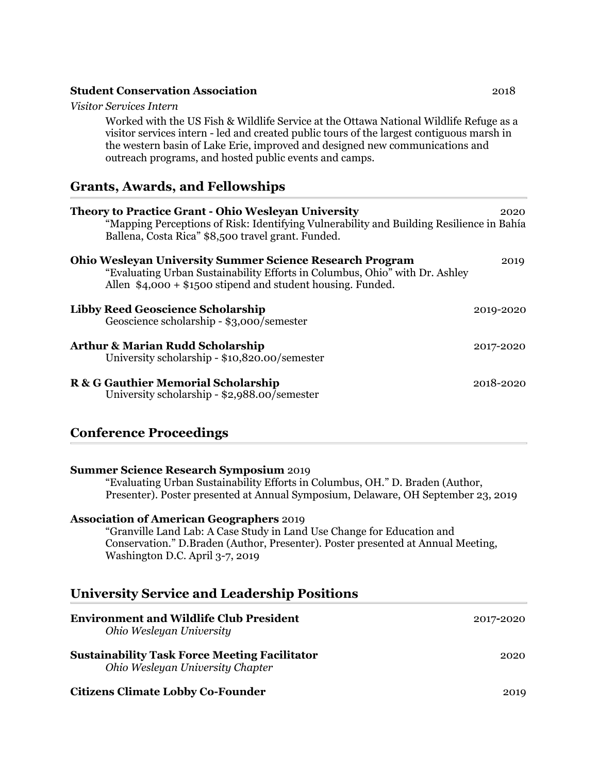#### **Student Conservation Association** 2018

#### *Visitor Services Intern*

Worked with the US Fish & Wildlife Service at the Ottawa National Wildlife Refuge as a visitor services intern - led and created public tours of the largest contiguous marsh in the western basin of Lake Erie, improved and designed new communications and outreach programs, and hosted public events and camps.

# **Grants, Awards, and Fellowships**

| <b>Theory to Practice Grant - Ohio Wesleyan University</b><br>"Mapping Perceptions of Risk: Identifying Vulnerability and Building Resilience in Bahía<br>Ballena, Costa Rica" \$8,500 travel grant. Funded.  | 2020      |
|---------------------------------------------------------------------------------------------------------------------------------------------------------------------------------------------------------------|-----------|
| <b>Ohio Wesleyan University Summer Science Research Program</b><br>"Evaluating Urban Sustainability Efforts in Columbus, Ohio" with Dr. Ashley<br>Allen $$4,000 + $1500$ stipend and student housing. Funded. | 2019      |
| <b>Libby Reed Geoscience Scholarship</b><br>Geoscience scholarship - \$3,000/semester                                                                                                                         | 2019-2020 |
| <b>Arthur &amp; Marian Rudd Scholarship</b><br>University scholarship - \$10,820.00/semester                                                                                                                  | 2017-2020 |
| R & G Gauthier Memorial Scholarship<br>University scholarship - \$2,988.00/semester                                                                                                                           | 2018-2020 |

# **Conference Proceedings**

| <b>Summer Science Research Symposium 2019</b><br>"Evaluating Urban Sustainability Efforts in Columbus, OH." D. Braden (Author,<br>Presenter). Poster presented at Annual Symposium, Delaware, OH September 23, 2019                              |           |
|--------------------------------------------------------------------------------------------------------------------------------------------------------------------------------------------------------------------------------------------------|-----------|
| <b>Association of American Geographers 2019</b><br>"Granville Land Lab: A Case Study in Land Use Change for Education and<br>Conservation." D.Braden (Author, Presenter). Poster presented at Annual Meeting,<br>Washington D.C. April 3-7, 2019 |           |
| <b>University Service and Leadership Positions</b>                                                                                                                                                                                               |           |
| <b>Environment and Wildlife Club President</b><br>Ohio Wesleyan University                                                                                                                                                                       | 2017-2020 |
| <b>Sustainability Task Force Meeting Facilitator</b><br>Ohio Wesleyan University Chapter                                                                                                                                                         | 2020      |
| <b>Citizens Climate Lobby Co-Founder</b>                                                                                                                                                                                                         | 2019      |